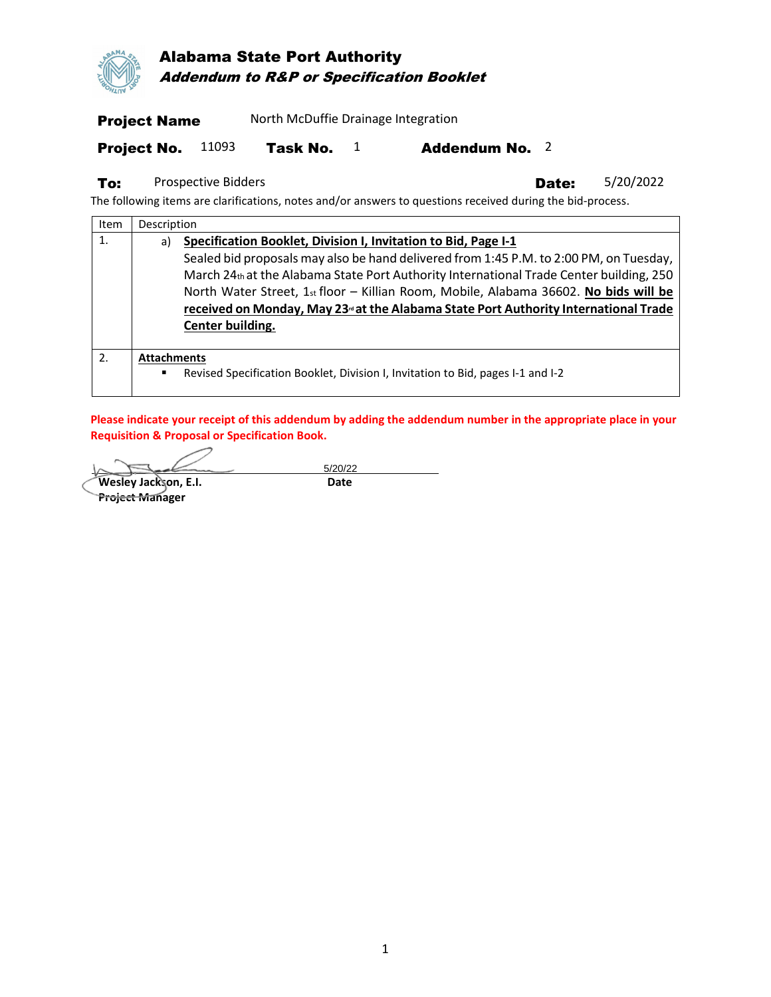

**Project Name** North McDuffie Drainage Integration

Project No.  $11093$  Task No. 1 Addendum No. 2

## To: Prospective Bidders **Date:** 5/20/2022

The following items are clarifications, notes and/or answers to questions received during the bid-process.

| Item           | Description                                                                                                                                                                                                                                                                                                                                                                                                                                                              |
|----------------|--------------------------------------------------------------------------------------------------------------------------------------------------------------------------------------------------------------------------------------------------------------------------------------------------------------------------------------------------------------------------------------------------------------------------------------------------------------------------|
| 1.             | Specification Booklet, Division I, Invitation to Bid, Page I-1<br>a)<br>Sealed bid proposals may also be hand delivered from 1:45 P.M. to 2:00 PM, on Tuesday,<br>March 24th at the Alabama State Port Authority International Trade Center building, 250<br>North Water Street, 1st floor - Killian Room, Mobile, Alabama 36602. No bids will be<br>received on Monday, May 23 <sup>d</sup> at the Alabama State Port Authority International Trade<br>Center building. |
| $\mathfrak{D}$ | <b>Attachments</b><br>Revised Specification Booklet, Division I, Invitation to Bid, pages I-1 and I-2<br>٠                                                                                                                                                                                                                                                                                                                                                               |

**Please indicate your receipt of this addendum by adding the addendum number in the appropriate place in your Requisition & Proposal or Specification Book.** 

5/20/22

Wesley Jackson, E.I. **Backson, E.I.** Date **Project Manager**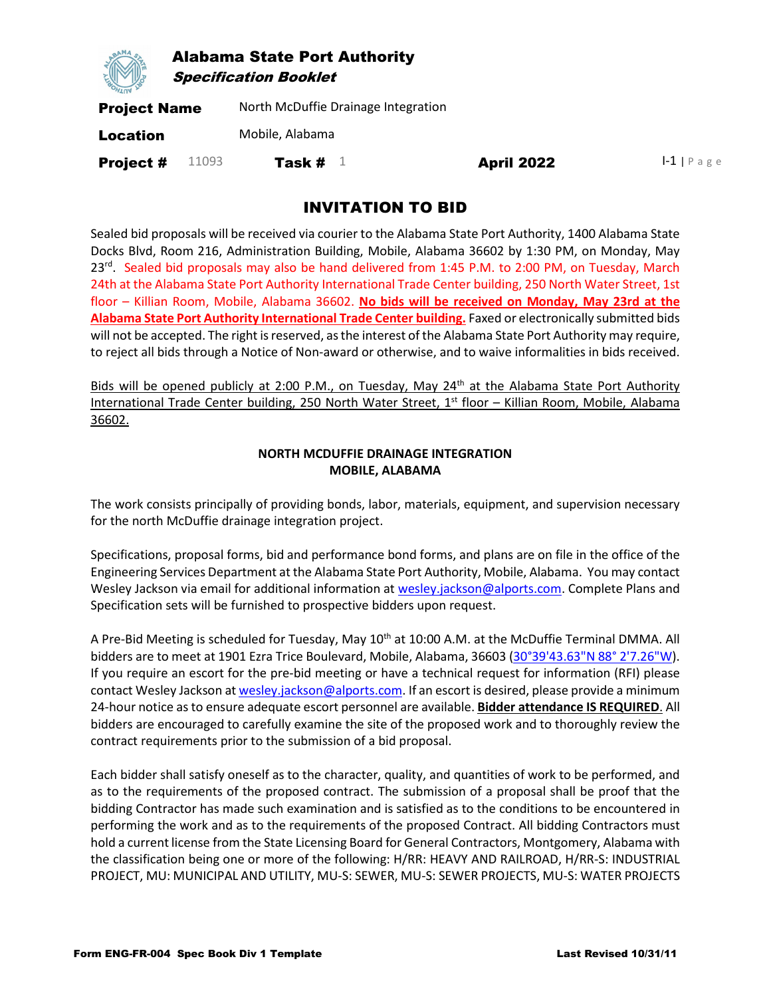

**Location** Mobile, Alabama **Project #**  $11093$  **Task #** 1 **April 2022** I-1 | Page

## INVITATION TO BID

Sealed bid proposals will be received via courier to the Alabama State Port Authority, 1400 Alabama State Docks Blvd, Room 216, Administration Building, Mobile, Alabama 36602 by 1:30 PM, on Monday, May 23<sup>rd</sup>. Sealed bid proposals may also be hand delivered from 1:45 P.M. to 2:00 PM, on Tuesday, March 24th at the Alabama State Port Authority International Trade Center building, 250 North Water Street, 1st floor – Killian Room, Mobile, Alabama 36602. **No bids will be received on Monday, May 23rd at the Alabama State Port Authority International Trade Center building.** Faxed or electronically submitted bids will not be accepted. The right is reserved, as the interest of the Alabama State Port Authority may require, to reject all bids through a Notice of Non-award or otherwise, and to waive informalities in bids received.

Bids will be opened publicly at 2:00 P.M., on Tuesday, May 24<sup>th</sup> at the Alabama State Port Authority International Trade Center building, 250 North Water Street, 1<sup>st</sup> floor - Killian Room, Mobile, Alabama 36602.

## **NORTH MCDUFFIE DRAINAGE INTEGRATION MOBILE, ALABAMA**

The work consists principally of providing bonds, labor, materials, equipment, and supervision necessary for the north McDuffie drainage integration project.

Specifications, proposal forms, bid and performance bond forms, and plans are on file in the office of the Engineering Services Department at the Alabama State Port Authority, Mobile, Alabama. You may contact Wesley Jackson via email for additional information at [wesley.jackson@alports.com.](mailto:wesley.jackson@alports.com) Complete Plans and Specification sets will be furnished to prospective bidders upon request.

A Pre-Bid Meeting is scheduled for Tuesday, May 10<sup>th</sup> at 10:00 A.M. at the McDuffie Terminal DMMA. All bidders are to meet at 1901 Ezra Trice Boulevard, Mobile, Alabama, 36603 [\(30°39'43.63"N 88° 2'7.26"W\)](https://goo.gl/maps/bwmsxy1WEzCXbCnD7). If you require an escort for the pre-bid meeting or have a technical request for information (RFI) please contact Wesley Jackson a[t wesley.jackson@alports.com.](mailto:wesley.jackson@alports.com) If an escort is desired, please provide a minimum 24-hour notice as to ensure adequate escort personnel are available. **Bidder attendance IS REQUIRED**. All bidders are encouraged to carefully examine the site of the proposed work and to thoroughly review the contract requirements prior to the submission of a bid proposal.

Each bidder shall satisfy oneself as to the character, quality, and quantities of work to be performed, and as to the requirements of the proposed contract. The submission of a proposal shall be proof that the bidding Contractor has made such examination and is satisfied as to the conditions to be encountered in performing the work and as to the requirements of the proposed Contract. All bidding Contractors must hold a current license from the State Licensing Board for General Contractors, Montgomery, Alabama with the classification being one or more of the following: H/RR: HEAVY AND RAILROAD, H/RR-S: INDUSTRIAL PROJECT, MU: MUNICIPAL AND UTILITY, MU-S: SEWER, MU-S: SEWER PROJECTS, MU-S: WATER PROJECTS